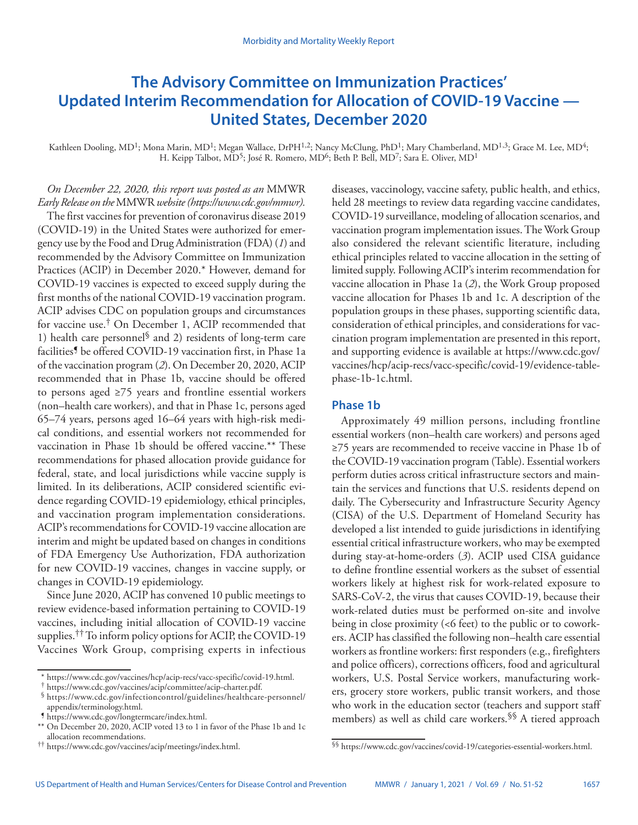# **The Advisory Committee on Immunization Practices' Updated Interim Recommendation for Allocation of COVID-19 Vaccine — United States, December 2020**

Kathleen Dooling, MD<sup>1</sup>; Mona Marin, MD<sup>1</sup>; Megan Wallace, DrPH<sup>1,2</sup>; Nancy McClung, PhD<sup>1</sup>; Mary Chamberland, MD<sup>1,3</sup>; Grace M. Lee, MD<sup>4</sup>; H. Keipp Talbot, MD<sup>5</sup>; José R. Romero, MD<sup>6</sup>; Beth P. Bell, MD<sup>7</sup>; Sara E. Oliver, MD<sup>1</sup>

*On December 22, 2020, this report was posted as an* MMWR *Early Release on the* MMWR *website (<https://www.cdc.gov/mmwr>).* 

The first vaccines for prevention of coronavirus disease 2019 (COVID-19) in the United States were authorized for emergency use by the Food and Drug Administration (FDA) (*1*) and recommended by the Advisory Committee on Immunization Practices (ACIP) in December 2020.\* However, demand for COVID-19 vaccines is expected to exceed supply during the first months of the national COVID-19 vaccination program. ACIP advises CDC on population groups and circumstances for vaccine use.† On December 1, ACIP recommended that 1) health care personnel<sup>§</sup> and 2) residents of long-term care facilities<sup>9</sup> be offered COVID-19 vaccination first, in Phase 1a of the vaccination program (*2*). On December 20, 2020, ACIP recommended that in Phase 1b, vaccine should be offered to persons aged ≥75 years and frontline essential workers (non–health care workers), and that in Phase 1c, persons aged 65–74 years, persons aged 16–64 years with high-risk medical conditions, and essential workers not recommended for vaccination in Phase 1b should be offered vaccine.\*\* These recommendations for phased allocation provide guidance for federal, state, and local jurisdictions while vaccine supply is limited. In its deliberations, ACIP considered scientific evidence regarding COVID-19 epidemiology, ethical principles, and vaccination program implementation considerations. ACIP's recommendations for COVID-19 vaccine allocation are interim and might be updated based on changes in conditions of FDA Emergency Use Authorization, FDA authorization for new COVID-19 vaccines, changes in vaccine supply, or changes in COVID-19 epidemiology.

Since June 2020, ACIP has convened 10 public meetings to review evidence-based information pertaining to COVID-19 vaccines, including initial allocation of COVID-19 vaccine supplies.<sup>††</sup> To inform policy options for ACIP, the COVID-19 Vaccines Work Group, comprising experts in infectious diseases, vaccinology, vaccine safety, public health, and ethics, held 28 meetings to review data regarding vaccine candidates, COVID-19 surveillance, modeling of allocation scenarios, and vaccination program implementation issues. The Work Group also considered the relevant scientific literature, including ethical principles related to vaccine allocation in the setting of limited supply. Following ACIP's interim recommendation for vaccine allocation in Phase 1a (*2*), the Work Group proposed vaccine allocation for Phases 1b and 1c. A description of the population groups in these phases, supporting scientific data, consideration of ethical principles, and considerations for vaccination program implementation are presented in this report, and supporting evidence is available at [https://www.cdc.gov/](https://www.cdc.gov/vaccines/hcp/acip-recs/vacc-specific/covid-19/evidence-table-phase-1b-1c.html) [vaccines/hcp/acip-recs/vacc-specific/covid-19/evidence-table](https://www.cdc.gov/vaccines/hcp/acip-recs/vacc-specific/covid-19/evidence-table-phase-1b-1c.html)[phase-1b-1c.html](https://www.cdc.gov/vaccines/hcp/acip-recs/vacc-specific/covid-19/evidence-table-phase-1b-1c.html).

# **Phase 1b**

Approximately 49 million persons, including frontline essential workers (non–health care workers) and persons aged ≥75 years are recommended to receive vaccine in Phase 1b of the COVID-19 vaccination program (Table). Essential workers perform duties across critical infrastructure sectors and maintain the services and functions that U.S. residents depend on daily. The Cybersecurity and Infrastructure Security Agency (CISA) of the U.S. Department of Homeland Security has developed a list intended to guide jurisdictions in identifying essential critical infrastructure workers, who may be exempted during stay-at-home-orders (*3*). ACIP used CISA guidance to define frontline essential workers as the subset of essential workers likely at highest risk for work-related exposure to SARS-CoV-2, the virus that causes COVID-19, because their work-related duties must be performed on-site and involve being in close proximity (<6 feet) to the public or to coworkers. ACIP has classified the following non–health care essential workers as frontline workers: first responders (e.g., firefighters and police officers), corrections officers, food and agricultural workers, U.S. Postal Service workers, manufacturing workers, grocery store workers, public transit workers, and those who work in the education sector (teachers and support staff members) as well as child care workers.§§ A tiered approach

<sup>\*</sup> [https://www.cdc.gov/vaccines/hcp/acip-recs/vacc-specific/covid-19.html.](https://www.cdc.gov/vaccines/hcp/acip-recs/vacc-specific/covid-19.html) † [https://www.cdc.gov/vaccines/acip/committee/acip-charter.pdf.](https://www.cdc.gov/vaccines/acip/committee/acip-charter.pdf) § [https://www.cdc.gov/infectioncontrol/guidelines/healthcare-personnel/](https://www.cdc.gov/infectioncontrol/guidelines/healthcare-personnel/appendix/terminology.html)

[appendix/terminology.html](https://www.cdc.gov/infectioncontrol/guidelines/healthcare-personnel/appendix/terminology.html). ¶ [https://www.cdc.gov/longtermcare/index.html.](https://www.cdc.gov/longtermcare/index.html)

<sup>\*\*</sup> On December 20, 2020, ACIP voted 13 to 1 in favor of the Phase 1b and 1c allocation recommendations.

<sup>††</sup> [https://www.cdc.gov/vaccines/acip/meetings/index.html.](https://www.cdc.gov/vaccines/acip/meetings/index.html)

<sup>§§</sup> <https://www.cdc.gov/vaccines/covid-19/categories-essential-workers.html>.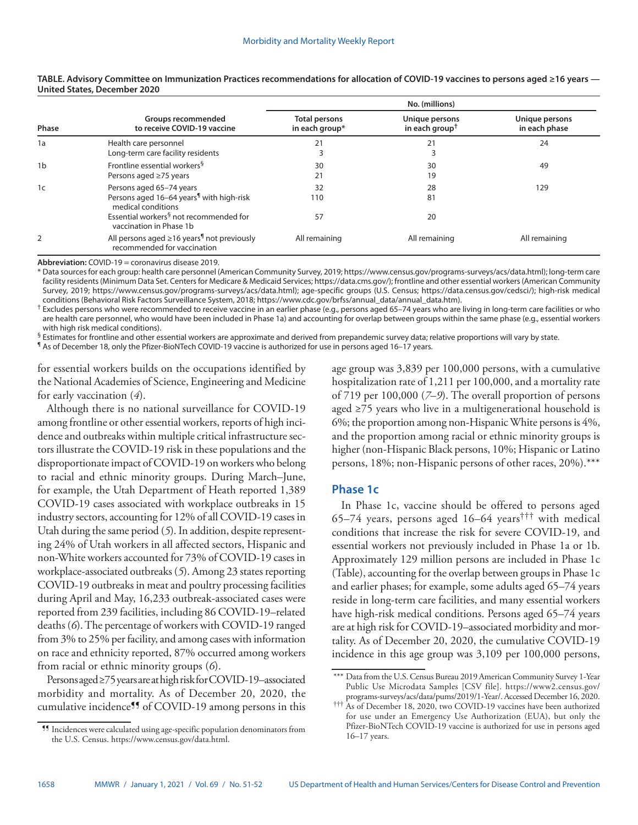| Phase          | Groups recommended<br>to receive COVID-19 vaccine                                                      | No. (millions)                         |                                                                 |                                 |
|----------------|--------------------------------------------------------------------------------------------------------|----------------------------------------|-----------------------------------------------------------------|---------------------------------|
|                |                                                                                                        | <b>Total persons</b><br>in each group* | Unique persons<br>in each group <sup><math>\dagger</math></sup> | Unique persons<br>in each phase |
| 1a             | Health care personnel<br>Long-term care facility residents                                             | 21                                     | 21                                                              | 24                              |
| 1 <sub>b</sub> | Frontline essential workers <sup>§</sup><br>Persons aged ≥75 years                                     | 30<br>21                               | 30<br>19                                                        | 49                              |
| 1 <sub>c</sub> | Persons aged 65-74 years<br>Persons aged 16-64 years <sup>1</sup> with high-risk<br>medical conditions | 32<br>110                              | 28<br>81                                                        | 129                             |
|                | Essential workers <sup>§</sup> not recommended for<br>vaccination in Phase 1b                          | 57                                     | 20                                                              |                                 |
|                | All persons aged $\geq$ 16 years <sup>1</sup> not previously<br>recommended for vaccination            | All remaining                          | All remaining                                                   | All remaining                   |

## **TABLE. Advisory Committee on Immunization Practices recommendations for allocation of COVID-19 vaccines to persons aged ≥16 years — United States, December 2020**

**Abbreviation:** COVID-19 = coronavirus disease 2019.

\* Data sources for each group: health care personnel (American Community Survey, 2019; [https://www.census.gov/programs-surveys/acs/data.html\)](https://www.census.gov/programs-surveys/acs/data.html); long-term care facility residents (Minimum Data Set. Centers for Medicare & Medicaid Services;<https://data.cms.gov/>); frontline and other essential workers (American Community Survey, 2019; [https://www.census.gov/programs-surveys/acs/data.html\)](https://www.census.gov/programs-surveys/acs/data.html); age-specific groups (U.S. Census; [https://data.census.gov/cedsci/\)](https://data.census.gov/cedsci/); high-risk medical conditions (Behavioral Risk Factors Surveillance System, 2018; [https://www.cdc.gov/brfss/annual\\_data/annual\\_data.htm](https://www.cdc.gov/brfss/annual_data/annual_data.htm)).

† Excludes persons who were recommended to receive vaccine in an earlier phase (e.g., persons aged 65–74 years who are living in long-term care facilities or who are health care personnel, who would have been included in Phase 1a) and accounting for overlap between groups within the same phase (e.g., essential workers with high risk medical conditions).

 $§$  Estimates for frontline and other essential workers are approximate and derived from prepandemic survey data; relative proportions will vary by state.

¶ As of December 18, only the Pfizer-BioNTech COVID-19 vaccine is authorized for use in persons aged 16–17 years.

for essential workers builds on the occupations identified by the National Academies of Science, Engineering and Medicine for early vaccination (*4*).

Although there is no national surveillance for COVID-19 among frontline or other essential workers, reports of high incidence and outbreaks within multiple critical infrastructure sectors illustrate the COVID-19 risk in these populations and the disproportionate impact of COVID-19 on workers who belong to racial and ethnic minority groups. During March–June, for example, the Utah Department of Heath reported 1,389 COVID-19 cases associated with workplace outbreaks in 15 industry sectors, accounting for 12% of all COVID-19 cases in Utah during the same period (*5*). In addition, despite representing 24% of Utah workers in all affected sectors, Hispanic and non-White workers accounted for 73% of COVID-19 cases in workplace-associated outbreaks (*5*). Among 23 states reporting COVID-19 outbreaks in meat and poultry processing facilities during April and May, 16,233 outbreak-associated cases were reported from 239 facilities, including 86 COVID-19–related deaths (*6*). The percentage of workers with COVID-19 ranged from 3% to 25% per facility, and among cases with information on race and ethnicity reported, 87% occurred among workers from racial or ethnic minority groups (*6*).

Persons aged ≥75 years are at high risk for COVID-19–associated morbidity and mortality. As of December 20, 2020, the cumulative incidence¶¶ of COVID-19 among persons in this age group was 3,839 per 100,000 persons, with a cumulative hospitalization rate of 1,211 per 100,000, and a mortality rate of 719 per 100,000 (*7*–*9*). The overall proportion of persons aged ≥75 years who live in a multigenerational household is 6%; the proportion among non-Hispanic White persons is 4%, and the proportion among racial or ethnic minority groups is higher (non-Hispanic Black persons, 10%; Hispanic or Latino persons, 18%; non-Hispanic persons of other races, 20%).\*\*\*

# **Phase 1c**

In Phase 1c, vaccine should be offered to persons aged 65–74 years, persons aged 16–64 years<sup>†††</sup> with medical conditions that increase the risk for severe COVID-19, and essential workers not previously included in Phase 1a or 1b. Approximately 129 million persons are included in Phase 1c (Table), accounting for the overlap between groups in Phase 1c and earlier phases; for example, some adults aged 65–74 years reside in long-term care facilities, and many essential workers have high-risk medical conditions. Persons aged 65–74 years are at high risk for COVID-19–associated morbidity and mortality. As of December 20, 2020, the cumulative COVID-19 incidence in this age group was 3,109 per 100,000 persons,

<sup>¶¶</sup> Incidences were calculated using age-specific population denominators from the U.S. Census. <https://www.census.gov/data.html>.

<sup>\*\*\*</sup> Data from the U.S. Census Bureau 2019 American Community Survey 1-Year Public Use Microdata Samples [CSV file]. [https://www2.census.gov/](https://www2.census.gov/programs-surveys/acs/data/pums/2019/1-Year/) [programs-surveys/acs/data/pums/2019/1-Year/.](https://www2.census.gov/programs-surveys/acs/data/pums/2019/1-Year/) Accessed December 16, 2020.

<sup>†††</sup> As of December 18, 2020, two COVID-19 vaccines have been authorized for use under an Emergency Use Authorization (EUA), but only the Pfizer-BioNTech COVID-19 vaccine is authorized for use in persons aged 16–17 years.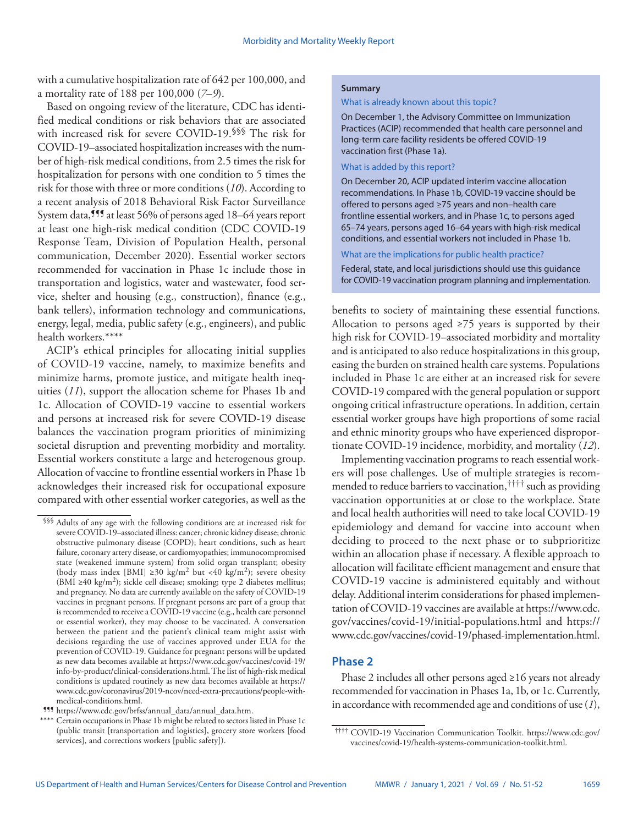with a cumulative hospitalization rate of 642 per 100,000, and a mortality rate of 188 per 100,000 (*7*–*9*).

Based on ongoing review of the literature, CDC has identified medical conditions or risk behaviors that are associated with increased risk for severe COVID-19.<sup>§§§</sup> The risk for COVID-19–associated hospitalization increases with the number of high-risk medical conditions, from 2.5 times the risk for hospitalization for persons with one condition to 5 times the risk for those with three or more conditions (*10*). According to a recent analysis of 2018 Behavioral Risk Factor Surveillance System data,<sup>999</sup> at least 56% of persons aged 18–64 years report at least one high-risk medical condition (CDC COVID-19 Response Team, Division of Population Health, personal communication, December 2020). Essential worker sectors recommended for vaccination in Phase 1c include those in transportation and logistics, water and wastewater, food service, shelter and housing (e.g., construction), finance (e.g., bank tellers), information technology and communications, energy, legal, media, public safety (e.g., engineers), and public health workers.\*\*\*\*

ACIP's ethical principles for allocating initial supplies of COVID-19 vaccine, namely, to maximize benefits and minimize harms, promote justice, and mitigate health inequities (*11*), support the allocation scheme for Phases 1b and 1c. Allocation of COVID-19 vaccine to essential workers and persons at increased risk for severe COVID-19 disease balances the vaccination program priorities of minimizing societal disruption and preventing morbidity and mortality. Essential workers constitute a large and heterogenous group. Allocation of vaccine to frontline essential workers in Phase 1b acknowledges their increased risk for occupational exposure compared with other essential worker categories, as well as the

### **Summary**

#### What is already known about this topic?

On December 1, the Advisory Committee on Immunization Practices (ACIP) recommended that health care personnel and long-term care facility residents be offered COVID-19 vaccination first (Phase 1a).

#### What is added by this report?

On December 20, ACIP updated interim vaccine allocation recommendations. In Phase 1b, COVID-19 vaccine should be offered to persons aged ≥75 years and non–health care frontline essential workers, and in Phase 1c, to persons aged 65–74 years, persons aged 16–64 years with high-risk medical conditions, and essential workers not included in Phase 1b.

## What are the implications for public health practice?

Federal, state, and local jurisdictions should use this guidance for COVID-19 vaccination program planning and implementation.

benefits to society of maintaining these essential functions. Allocation to persons aged  $\geq 75$  years is supported by their high risk for COVID-19–associated morbidity and mortality and is anticipated to also reduce hospitalizations in this group, easing the burden on strained health care systems. Populations included in Phase 1c are either at an increased risk for severe COVID-19 compared with the general population or support ongoing critical infrastructure operations. In addition, certain essential worker groups have high proportions of some racial and ethnic minority groups who have experienced disproportionate COVID-19 incidence, morbidity, and mortality (*12*).

Implementing vaccination programs to reach essential workers will pose challenges. Use of multiple strategies is recommended to reduce barriers to vaccination,<sup>††††</sup> such as providing vaccination opportunities at or close to the workplace. State and local health authorities will need to take local COVID-19 epidemiology and demand for vaccine into account when deciding to proceed to the next phase or to subprioritize within an allocation phase if necessary. A flexible approach to allocation will facilitate efficient management and ensure that COVID-19 vaccine is administered equitably and without delay. Additional interim considerations for phased implementation of COVID-19 vaccines are available at [https://www.cdc.](https://www.cdc.gov/vaccines/covid-19/initial-populations.html) [gov/vaccines/covid-19/initial-populations.html](https://www.cdc.gov/vaccines/covid-19/initial-populations.html) and [https://](https://www.cdc.gov/vaccines/covid-19/phased-implementation.html) [www.cdc.gov/vaccines/covid-19/phased-implementation.html](https://www.cdc.gov/vaccines/covid-19/phased-implementation.html).

# **Phase 2**

Phase 2 includes all other persons aged ≥16 years not already recommended for vaccination in Phases 1a, 1b, or 1c. Currently, in accordance with recommended age and conditions of use (*1*),

<sup>§§§</sup> Adults of any age with the following conditions are at increased risk for severe COVID-19–associated illness: cancer; chronic kidney disease; chronic obstructive pulmonary disease (COPD); heart conditions, such as heart failure, coronary artery disease, or cardiomyopathies; immunocompromised state (weakened immune system) from solid organ transplant; obesity (body mass index [BMI] ≥30 kg/m<sup>2</sup> but <40 kg/m<sup>2</sup>); severe obesity (BMI ≥40 kg/m<sup>2</sup>); sickle cell disease; smoking; type 2 diabetes mellitus; and pregnancy. No data are currently available on the safety of COVID-19 vaccines in pregnant persons. If pregnant persons are part of a group that is recommended to receive a COVID-19 vaccine (e.g., health care personnel or essential worker), they may choose to be vaccinated. A conversation between the patient and the patient's clinical team might assist with decisions regarding the use of vaccines approved under EUA for the prevention of COVID-19. Guidance for pregnant persons will be updated as new data becomes available at [https://www.cdc.gov/vaccines/covid-19/](https://www.cdc.gov/vaccines/covid-19/info-by-product/clinical-considerations.html) [info-by-product/clinical-considerations.html.](https://www.cdc.gov/vaccines/covid-19/info-by-product/clinical-considerations.html) The list of high-risk medical conditions is updated routinely as new data becomes available at [https://](https://www.cdc.gov/coronavirus/2019-ncov/need-extra-precautions/people-with-medical-conditions.html) [www.cdc.gov/coronavirus/2019-ncov/need-extra-precautions/people-with-](https://www.cdc.gov/coronavirus/2019-ncov/need-extra-precautions/people-with-medical-conditions.html)

[medical-conditions.html.](https://www.cdc.gov/coronavirus/2019-ncov/need-extra-precautions/people-with-medical-conditions.html) ¶¶¶ [https://www.cdc.gov/brfss/annual\\_data/annual\\_data.htm](https://www.cdc.gov/brfss/annual_data/annual_data.htm).

Certain occupations in Phase 1b might be related to sectors listed in Phase 1c (public transit [transportation and logistics], grocery store workers [food services], and corrections workers [public safety]).

<sup>††††</sup> COVID-19 Vaccination Communication Toolkit. [https://www.cdc.gov/](https://www.cdc.gov/vaccines/covid-19/health-systems-communication-toolkit.html) [vaccines/covid-19/health-systems-communication-toolkit.html.](https://www.cdc.gov/vaccines/covid-19/health-systems-communication-toolkit.html)